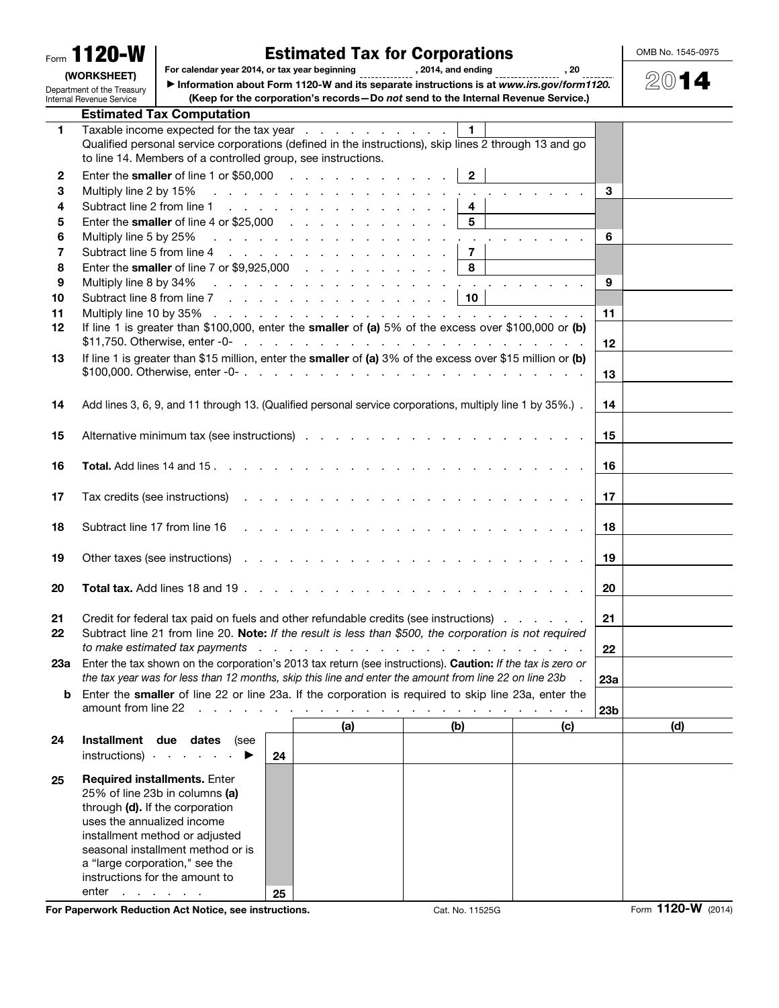|                                                              | Form 1120-W                                                                                                                                                                                                |                                                                     |                             | <b>Estimated Tax for Corporations</b>                                                                                                                                                          |                         |     |                 |  | OMB No. 1545-0975  |  |
|--------------------------------------------------------------|------------------------------------------------------------------------------------------------------------------------------------------------------------------------------------------------------------|---------------------------------------------------------------------|-----------------------------|------------------------------------------------------------------------------------------------------------------------------------------------------------------------------------------------|-------------------------|-----|-----------------|--|--------------------|--|
| (WORKSHEET)                                                  |                                                                                                                                                                                                            | For calendar year 2014, or tax year beginning                       | , 2014, and ending<br>. 20  |                                                                                                                                                                                                |                         |     |                 |  | $20$ 14            |  |
|                                                              | Information about Form 1120-W and its separate instructions is at www.irs.gov/form1120.<br>Department of the Treasury<br>(Keep for the corporation's records-Do not send to the Internal Revenue Service.) |                                                                     |                             |                                                                                                                                                                                                |                         |     |                 |  |                    |  |
| Internal Revenue Service<br><b>Estimated Tax Computation</b> |                                                                                                                                                                                                            |                                                                     |                             |                                                                                                                                                                                                |                         |     |                 |  |                    |  |
| 1                                                            |                                                                                                                                                                                                            |                                                                     |                             | Taxable income expected for the tax year                                                                                                                                                       | $\overline{1}$          |     |                 |  |                    |  |
|                                                              |                                                                                                                                                                                                            |                                                                     |                             | Qualified personal service corporations (defined in the instructions), skip lines 2 through 13 and go                                                                                          |                         |     |                 |  |                    |  |
|                                                              |                                                                                                                                                                                                            | to line 14. Members of a controlled group, see instructions.        |                             |                                                                                                                                                                                                |                         |     |                 |  |                    |  |
| $\mathbf{2}$                                                 |                                                                                                                                                                                                            |                                                                     |                             | Enter the smaller of line 1 or \$50,000 $\ldots$ $\ldots$ $\ldots$ $\ldots$ $\ldots$                                                                                                           | $\overline{2}$          |     |                 |  |                    |  |
| 3                                                            | Multiply line 2 by 15%                                                                                                                                                                                     |                                                                     |                             | and the contract of the contract of the contract of the contract of the contract of                                                                                                            |                         |     | 3               |  |                    |  |
| 4                                                            |                                                                                                                                                                                                            |                                                                     |                             | Subtract line 2 from line 1                                                                                                                                                                    | $\overline{\mathbf{4}}$ |     |                 |  |                    |  |
| 5                                                            |                                                                                                                                                                                                            |                                                                     |                             | Enter the smaller of line 4 or $$25,000$                                                                                                                                                       | 5                       |     |                 |  |                    |  |
| 6<br>7                                                       |                                                                                                                                                                                                            |                                                                     |                             | Multiply line 5 by 25% $\ldots$ $\ldots$ $\ldots$ $\ldots$ $\ldots$ $\ldots$ $\ldots$ $\ldots$                                                                                                 | $\overline{7}$          |     | 6               |  |                    |  |
| 8                                                            |                                                                                                                                                                                                            |                                                                     |                             | Enter the smaller of line 7 or $$9,925,000$                                                                                                                                                    | 8                       |     |                 |  |                    |  |
| 9                                                            |                                                                                                                                                                                                            |                                                                     |                             |                                                                                                                                                                                                |                         |     | 9               |  |                    |  |
| 10                                                           |                                                                                                                                                                                                            |                                                                     |                             | Subtract line 8 from line 7                                                                                                                                                                    | $\vert$ 10              |     |                 |  |                    |  |
| 11                                                           |                                                                                                                                                                                                            |                                                                     |                             |                                                                                                                                                                                                |                         |     | 11              |  |                    |  |
| 12                                                           |                                                                                                                                                                                                            |                                                                     |                             | If line 1 is greater than \$100,000, enter the smaller of (a) 5% of the excess over \$100,000 or (b)                                                                                           |                         |     |                 |  |                    |  |
|                                                              |                                                                                                                                                                                                            |                                                                     |                             | $$11,750.$ Otherwise, enter -0- $\ldots$ $\ldots$ $\ldots$ $\ldots$ $\ldots$ $\ldots$ $\ldots$ $\ldots$ $\ldots$                                                                               |                         |     | 12              |  |                    |  |
| 13                                                           |                                                                                                                                                                                                            |                                                                     |                             | If line 1 is greater than \$15 million, enter the smaller of (a) 3% of the excess over \$15 million or (b)                                                                                     |                         |     |                 |  |                    |  |
|                                                              |                                                                                                                                                                                                            |                                                                     |                             |                                                                                                                                                                                                |                         |     | 13              |  |                    |  |
|                                                              |                                                                                                                                                                                                            |                                                                     |                             |                                                                                                                                                                                                |                         |     |                 |  |                    |  |
| 14                                                           |                                                                                                                                                                                                            |                                                                     |                             | Add lines 3, 6, 9, and 11 through 13. (Qualified personal service corporations, multiply line 1 by 35%.).                                                                                      |                         |     | 14              |  |                    |  |
| 15                                                           |                                                                                                                                                                                                            |                                                                     |                             |                                                                                                                                                                                                |                         |     | 15              |  |                    |  |
|                                                              |                                                                                                                                                                                                            |                                                                     |                             |                                                                                                                                                                                                |                         |     |                 |  |                    |  |
| 16                                                           |                                                                                                                                                                                                            |                                                                     |                             |                                                                                                                                                                                                |                         |     | 16              |  |                    |  |
|                                                              |                                                                                                                                                                                                            |                                                                     |                             |                                                                                                                                                                                                |                         |     |                 |  |                    |  |
| 17                                                           |                                                                                                                                                                                                            | Tax credits (see instructions)                                      |                             | de la caractería de la caractería de la caractería                                                                                                                                             |                         |     | 17              |  |                    |  |
|                                                              |                                                                                                                                                                                                            |                                                                     |                             |                                                                                                                                                                                                |                         |     |                 |  |                    |  |
| 18                                                           | Subtract line 17 from line 16                                                                                                                                                                              |                                                                     |                             |                                                                                                                                                                                                |                         |     | 18              |  |                    |  |
|                                                              |                                                                                                                                                                                                            |                                                                     |                             |                                                                                                                                                                                                |                         |     |                 |  |                    |  |
| 19                                                           |                                                                                                                                                                                                            | Other taxes (see instructions).                                     |                             |                                                                                                                                                                                                |                         |     | 19              |  |                    |  |
|                                                              |                                                                                                                                                                                                            |                                                                     |                             |                                                                                                                                                                                                |                         |     |                 |  |                    |  |
| 20                                                           |                                                                                                                                                                                                            | <b>Total tax.</b> Add lines 18 and 19                               | $\mathcal{L}^{\mathcal{L}}$ |                                                                                                                                                                                                |                         |     | 20              |  |                    |  |
|                                                              |                                                                                                                                                                                                            |                                                                     |                             |                                                                                                                                                                                                |                         |     |                 |  |                    |  |
| 21<br>22                                                     |                                                                                                                                                                                                            |                                                                     |                             | Credit for federal tax paid on fuels and other refundable credits (see instructions)<br>Subtract line 21 from line 20. Note: If the result is less than \$500, the corporation is not required |                         |     | 21              |  |                    |  |
|                                                              |                                                                                                                                                                                                            | to make estimated tax payments                                      |                             | de la carra de la carra de la carra de la carra de                                                                                                                                             |                         |     | 22              |  |                    |  |
| 23а                                                          |                                                                                                                                                                                                            |                                                                     |                             | Enter the tax shown on the corporation's 2013 tax return (see instructions). Caution: If the tax is zero or                                                                                    |                         |     |                 |  |                    |  |
|                                                              |                                                                                                                                                                                                            |                                                                     |                             | the tax year was for less than 12 months, skip this line and enter the amount from line 22 on line 23b                                                                                         |                         |     | 23a             |  |                    |  |
| b                                                            |                                                                                                                                                                                                            |                                                                     |                             | Enter the smaller of line 22 or line 23a. If the corporation is required to skip line 23a, enter the                                                                                           |                         |     |                 |  |                    |  |
|                                                              | amount from line 22                                                                                                                                                                                        |                                                                     |                             | والمتحاوية والمتحاولة والمتحاولة والمتحاولة والمتحاولة والمتحاولة والمتحاولة                                                                                                                   |                         |     | 23 <sub>b</sub> |  |                    |  |
|                                                              |                                                                                                                                                                                                            |                                                                     |                             | (a)                                                                                                                                                                                            | (b)                     | (c) |                 |  | (d)                |  |
| 24                                                           |                                                                                                                                                                                                            | Installment due dates (see                                          |                             |                                                                                                                                                                                                |                         |     |                 |  |                    |  |
|                                                              |                                                                                                                                                                                                            | instructions) $\qquad \qquad$                                       | 24                          |                                                                                                                                                                                                |                         |     |                 |  |                    |  |
| 25                                                           |                                                                                                                                                                                                            | Required installments. Enter                                        |                             |                                                                                                                                                                                                |                         |     |                 |  |                    |  |
|                                                              |                                                                                                                                                                                                            | 25% of line 23b in columns (a)                                      |                             |                                                                                                                                                                                                |                         |     |                 |  |                    |  |
|                                                              |                                                                                                                                                                                                            | through (d). If the corporation                                     |                             |                                                                                                                                                                                                |                         |     |                 |  |                    |  |
|                                                              | uses the annualized income                                                                                                                                                                                 |                                                                     |                             |                                                                                                                                                                                                |                         |     |                 |  |                    |  |
|                                                              |                                                                                                                                                                                                            | installment method or adjusted<br>seasonal installment method or is |                             |                                                                                                                                                                                                |                         |     |                 |  |                    |  |
|                                                              |                                                                                                                                                                                                            | a "large corporation," see the                                      |                             |                                                                                                                                                                                                |                         |     |                 |  |                    |  |
|                                                              |                                                                                                                                                                                                            | instructions for the amount to                                      |                             |                                                                                                                                                                                                |                         |     |                 |  |                    |  |
|                                                              | enter                                                                                                                                                                                                      | $\mathcal{A}$ , and $\mathcal{A}$ , and $\mathcal{A}$ , and         | 25                          |                                                                                                                                                                                                |                         |     |                 |  |                    |  |
|                                                              |                                                                                                                                                                                                            | For Paperwork Reduction Act Notice, see instructions.               |                             |                                                                                                                                                                                                | Cat. No. 11525G         |     |                 |  | Form 1120-W (2014) |  |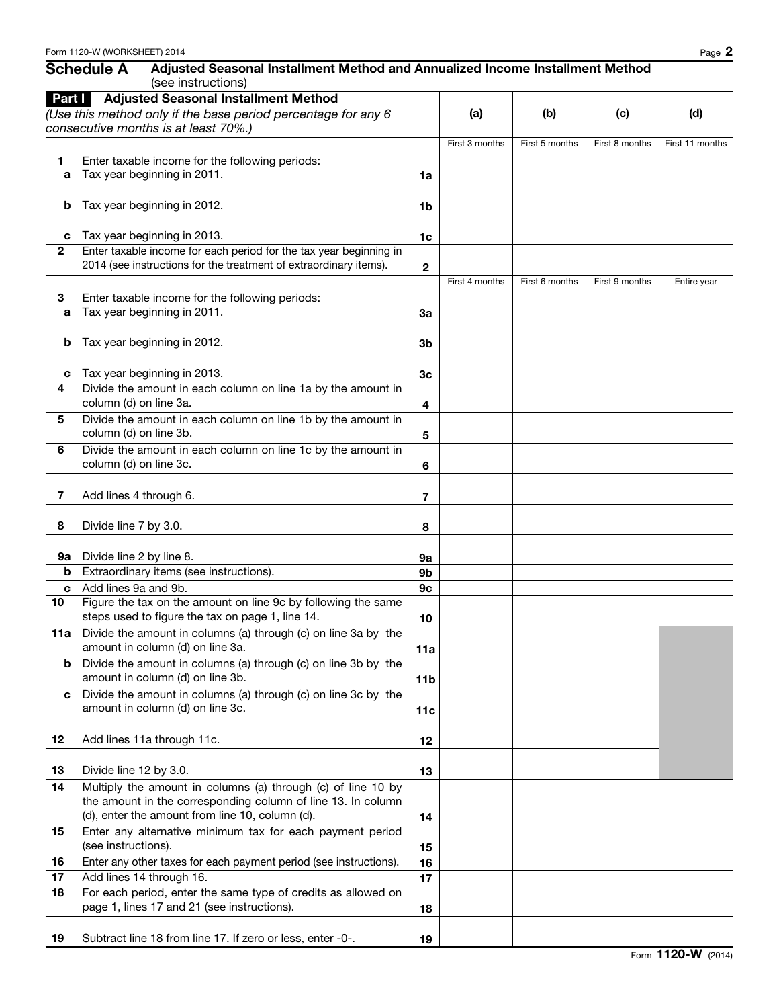|              | (see instructions)                                                                                 |                 |                |                |                |                 |  |
|--------------|----------------------------------------------------------------------------------------------------|-----------------|----------------|----------------|----------------|-----------------|--|
| Part I       | <b>Adjusted Seasonal Installment Method</b>                                                        |                 |                |                |                |                 |  |
|              | (Use this method only if the base period percentage for any 6                                      |                 | (a)            | (b)            | (c)            | (d)             |  |
|              | consecutive months is at least 70%.)                                                               |                 |                |                |                |                 |  |
|              |                                                                                                    |                 | First 3 months | First 5 months | First 8 months | First 11 months |  |
| 1            | Enter taxable income for the following periods:                                                    |                 |                |                |                |                 |  |
| a            | Tax year beginning in 2011.                                                                        | 1a              |                |                |                |                 |  |
|              |                                                                                                    |                 |                |                |                |                 |  |
| b            | Tax year beginning in 2012.                                                                        | 1b              |                |                |                |                 |  |
| c            | Tax year beginning in 2013.                                                                        | 1 <sub>c</sub>  |                |                |                |                 |  |
| $\mathbf{2}$ | Enter taxable income for each period for the tax year beginning in                                 |                 |                |                |                |                 |  |
|              | 2014 (see instructions for the treatment of extraordinary items).                                  | $\mathbf{2}$    |                |                |                |                 |  |
|              |                                                                                                    |                 | First 4 months | First 6 months | First 9 months | Entire year     |  |
| 3            | Enter taxable income for the following periods:                                                    |                 |                |                |                |                 |  |
| a            | Tax year beginning in 2011.                                                                        | За              |                |                |                |                 |  |
|              |                                                                                                    |                 |                |                |                |                 |  |
| b            | Tax year beginning in 2012.                                                                        | 3b              |                |                |                |                 |  |
|              |                                                                                                    |                 |                |                |                |                 |  |
| c<br>4       | Tax year beginning in 2013.<br>Divide the amount in each column on line 1a by the amount in        | 3 <sub>c</sub>  |                |                |                |                 |  |
|              | column (d) on line 3a.                                                                             | 4               |                |                |                |                 |  |
| 5            | Divide the amount in each column on line 1b by the amount in                                       |                 |                |                |                |                 |  |
|              | column (d) on line 3b.                                                                             | 5               |                |                |                |                 |  |
| 6            | Divide the amount in each column on line 1c by the amount in                                       |                 |                |                |                |                 |  |
|              | column (d) on line 3c.                                                                             | 6               |                |                |                |                 |  |
|              |                                                                                                    |                 |                |                |                |                 |  |
| 7            | Add lines 4 through 6.                                                                             | 7               |                |                |                |                 |  |
|              |                                                                                                    |                 |                |                |                |                 |  |
| 8            | Divide line 7 by 3.0.                                                                              | 8               |                |                |                |                 |  |
|              |                                                                                                    |                 |                |                |                |                 |  |
| 9а<br>b      | Divide line 2 by line 8.<br>Extraordinary items (see instructions).                                | 9а<br>9b        |                |                |                |                 |  |
| c            | Add lines 9a and 9b.                                                                               | 9 <sub>c</sub>  |                |                |                |                 |  |
| 10           | Figure the tax on the amount on line 9c by following the same                                      |                 |                |                |                |                 |  |
|              | steps used to figure the tax on page 1, line 14.                                                   | 10              |                |                |                |                 |  |
|              | 11a Divide the amount in columns (a) through (c) on line 3a by the                                 |                 |                |                |                |                 |  |
|              | amount in column (d) on line 3a.                                                                   | 11a             |                |                |                |                 |  |
| b            | Divide the amount in columns (a) through (c) on line 3b by the                                     |                 |                |                |                |                 |  |
|              | amount in column (d) on line 3b.                                                                   | 11 <sub>b</sub> |                |                |                |                 |  |
| c            | Divide the amount in columns (a) through (c) on line 3c by the<br>amount in column (d) on line 3c. |                 |                |                |                |                 |  |
|              |                                                                                                    | 11c             |                |                |                |                 |  |
| 12           | Add lines 11a through 11c.                                                                         | 12              |                |                |                |                 |  |
|              |                                                                                                    |                 |                |                |                |                 |  |
| 13           | Divide line 12 by 3.0.                                                                             | 13              |                |                |                |                 |  |
| 14           | Multiply the amount in columns (a) through (c) of line 10 by                                       |                 |                |                |                |                 |  |
|              | the amount in the corresponding column of line 13. In column                                       |                 |                |                |                |                 |  |
|              | (d), enter the amount from line 10, column (d).                                                    | 14              |                |                |                |                 |  |
| 15           | Enter any alternative minimum tax for each payment period                                          |                 |                |                |                |                 |  |
|              | (see instructions).                                                                                | 15              |                |                |                |                 |  |
| 16           | Enter any other taxes for each payment period (see instructions).                                  | 16              |                |                |                |                 |  |
| 17<br>18     | Add lines 14 through 16.<br>For each period, enter the same type of credits as allowed on          | 17              |                |                |                |                 |  |
|              | page 1, lines 17 and 21 (see instructions).                                                        | 18              |                |                |                |                 |  |
|              |                                                                                                    |                 |                |                |                |                 |  |
| 19           | Subtract line 18 from line 17. If zero or less, enter -0-.                                         | 19              |                |                |                |                 |  |